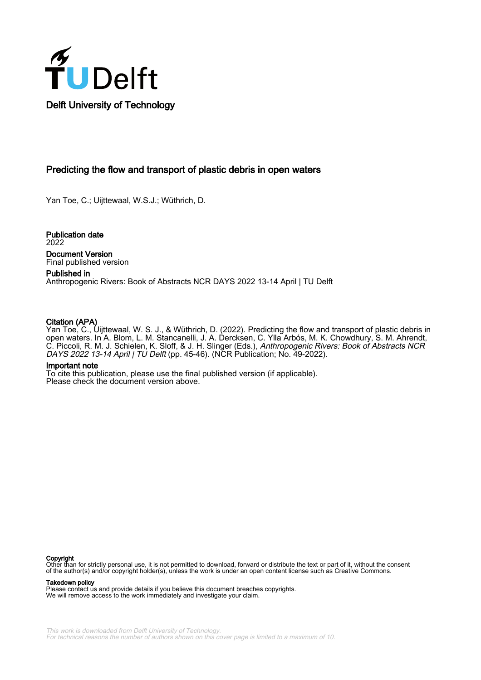

#### Predicting the flow and transport of plastic debris in open waters

Yan Toe, C.; Uijttewaal, W.S.J.; Wüthrich, D.

Publication date 2022 Document Version Final published version

Published in Anthropogenic Rivers: Book of Abstracts NCR DAYS 2022 13-14 April | TU Delft

#### Citation (APA)

Yan Toe, C., Uijttewaal, W. S. J., & Wüthrich, D. (2022). Predicting the flow and transport of plastic debris in open waters. In A. Blom, L. M. Stancanelli, J. A. Dercksen, C. Ylla Arbós, M. K. Chowdhury, S. M. Ahrendt, C. Piccoli, R. M. J. Schielen, K. Sloff, & J. H. Slinger (Eds.), *Anthropogenic Rivers: Book of Abstracts NCR* DAYS 2022 13-14 April | TU Delft (pp. 45-46). (NCR Publication; No. 49-2022).

#### Important note

To cite this publication, please use the final published version (if applicable). Please check the document version above.

#### Copyright

Other than for strictly personal use, it is not permitted to download, forward or distribute the text or part of it, without the consent of the author(s) and/or copyright holder(s), unless the work is under an open content license such as Creative Commons.

#### Takedown policy

Please contact us and provide details if you believe this document breaches copyrights. We will remove access to the work immediately and investigate your claim.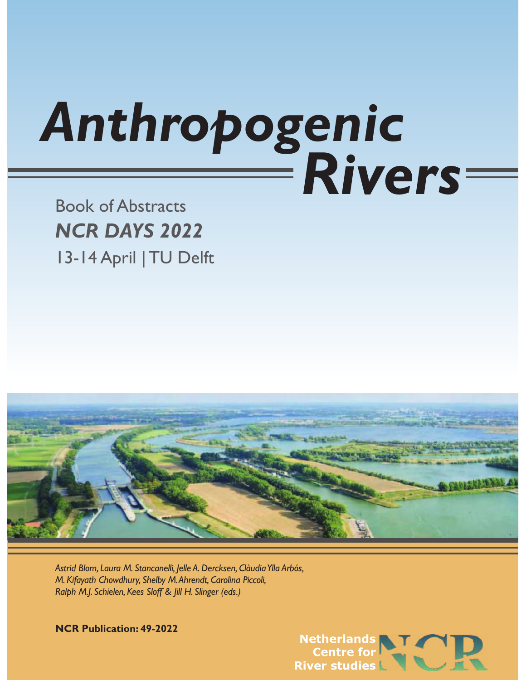# *Anthropogenic Rivers*

# Book of Abstracts *NCR DAYS 2022* 13-14 April | TU Delft



Astrid Blom, Laura M. Stancanelli, Jelle A. Dercksen, Clàudia Ylla Arbós, *M. Kifayath Chowdhury, Shelby M. Ahrendt, Carolina Piccoli, Ralph M.J. Schielen, Kees Sloff & Jill H. Slinger (eds.)*

**NCR Publication: 49-2022**

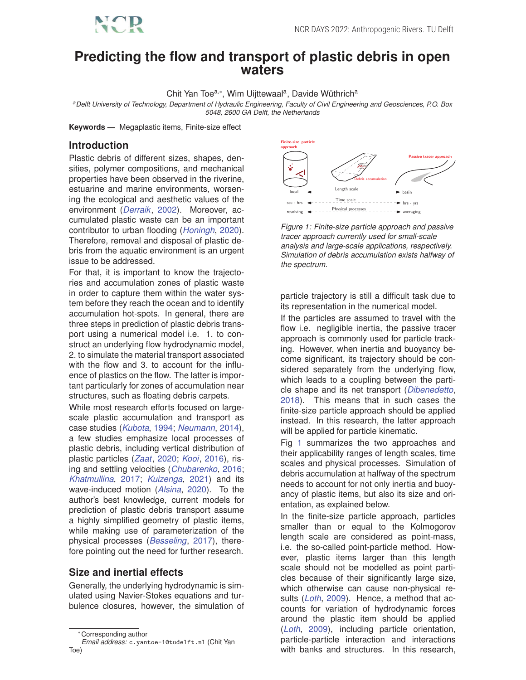# **Predicting the flow and transport of plastic debris in open waters**

Chit Yan Toe<sup>a,\*</sup>, Wim Uijttewaal<sup>a</sup>, Davide Wüthrich<sup>a</sup>

*<sup>a</sup>Delft University of Technology, Department of Hydraulic Engineering, Faculty of Civil Engineering and Geosciences, P.O. Box 5048, 2600 GA Delft, the Netherlands*

**Keywords —** Megaplastic items, Finite-size effect

## **Introduction**

Plastic debris of different sizes, shapes, densities, polymer compositions, and mechanical properties have been observed in the riverine, estuarine and marine environments, worsening the ecological and aesthetic values of the environment (*Derraik*, 2002). Moreover, accumulated plastic waste can be an important contributor to urban flooding (*Honingh*, 2020). Therefore, removal and disposal of plastic debris from the aquatic environment is an urgent issue to be addressed.

For that, it is important to know the trajectories and accumulation zones of plastic waste in order to capture them within the water system before they reach the ocean and to identify accumulation hot-spots. In general, there are three steps in prediction of plastic debris transport using a numerical model i.e. 1. to construct an underlying flow hydrodynamic model, 2. to simulate the material transport associated with the flow and 3, to account for the influence of plastics on the flow. The latter is important particularly for zones of accumulation near structures, such as floating debris carpets.

While most research efforts focused on largescale plastic accumulation and transport as case studies (*Kubota*, 1994; *Neumann*, 2014), a few studies emphasize local processes of plastic debris, including vertical distribution of plastic particles (*Zaat*, 2020; *Kooi*, 2016), rising and settling velocities (*Chubarenko*, 2016; *Khatmullina*, 2017; *Kuizenga*, 2021) and its wave-induced motion (*Alsina*, 2020). To the author's best knowledge, current models for prediction of plastic debris transport assume a highly simplified geometry of plastic items, while making use of parameterization of the physical processes (*Besseling*, 2017), therefore pointing out the need for further research.

### **Size and inertial effects**

Generally, the underlying hydrodynamic is simulated using Navier-Stokes equations and turbulence closures, however, the simulation of



*Figure 1: Finite-size particle approach and passive tracer approach currently used for small-scale analysis and large-scale applications, respectively. Simulation of debris accumulation exists halfway of the spectrum.*

particle trajectory is still a difficult task due to its representation in the numerical model.

If the particles are assumed to travel with the flow i.e. negligible inertia, the passive tracer approach is commonly used for particle tracking. However, when inertia and buoyancy become significant, its trajectory should be considered separately from the underlying flow, which leads to a coupling between the particle shape and its net transport (*Dibenedetto*, 2018). This means that in such cases the finite-size particle approach should be applied instead. In this research, the latter approach will be applied for particle kinematic.

Fig 1 summarizes the two approaches and their applicability ranges of length scales, time scales and physical processes. Simulation of debris accumulation at halfway of the spectrum needs to account for not only inertia and buoyancy of plastic items, but also its size and orientation, as explained below.

In the finite-size particle approach, particles smaller than or equal to the Kolmogorov length scale are considered as point-mass, i.e. the so-called point-particle method. However, plastic items larger than this length scale should not be modelled as point particles because of their significantly large size, which otherwise can cause non-physical results (*Loth*, 2009). Hence, a method that accounts for variation of hydrodynamic forces around the plastic item should be applied (*Loth*, 2009), including particle orientation, particle-particle interaction and interactions with banks and structures. In this research,

<sup>∗</sup>Corresponding author

*Email address:* c.yantoe-1@tudelft.nl (Chit Yan Toe)